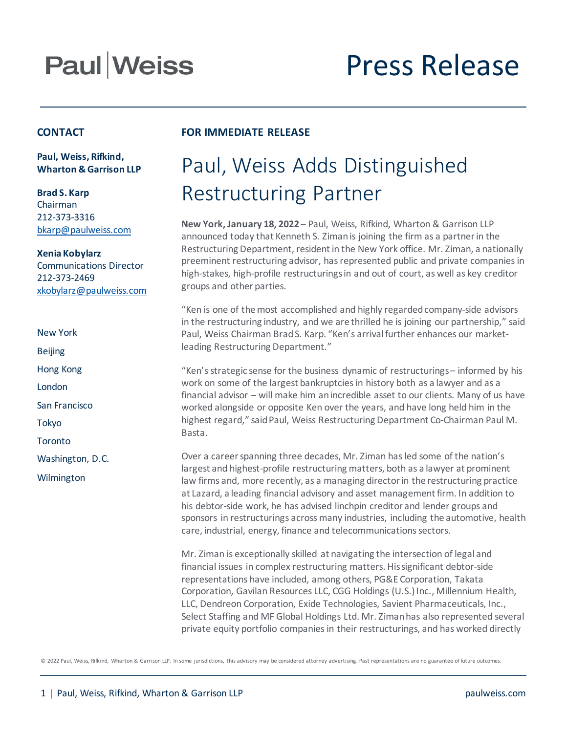# **Paul Weiss**

# Press Release

#### **CONTACT**

**Paul, Weiss, Rifkind, Wharton & Garrison LLP**

**Brad S. Karp** Chairman 212-373-3316 [bkarp@paulweiss.com](mailto:bkarp@paulweiss.com)

**Xenia Kobylarz** Communications Director 212-373-2469 [xkobylarz@paulweiss.com](mailto:xkobylarz@paulweiss.com)

- New York
- Beijing
- Hong Kong
- London
- San Francisco
- Tokyo
- **Toronto**
- Washington, D.C.
- Wilmington

### **FOR IMMEDIATE RELEASE**

### Paul, Weiss Adds Distinguished Restructuring Partner

**New York, January 18, 2022** – Paul, Weiss, Rifkind, Wharton & Garrison LLP announced today that Kenneth S. Ziman is joining the firm as a partner in the Restructuring Department, resident in the New York office. Mr. Ziman, a nationally preeminent restructuring advisor, has represented public and private companies in high-stakes, high-profile restructurings in and out of court, as well as key creditor groups and other parties.

"Ken is one of the most accomplished and highly regarded company-side advisors in the restructuring industry, and we are thrilled he is joining our partnership," said Paul, Weiss Chairman Brad S. Karp. "Ken's arrival further enhances our marketleading Restructuring Department."

"Ken's strategic sense for the business dynamic of restructurings – informed by his work on some of the largest bankruptcies in history both as a lawyer and as a financial advisor – will make him an incredible asset to our clients. Many of us have worked alongside or opposite Ken over the years, and have long held him in the highest regard," said Paul, Weiss Restructuring Department Co-Chairman Paul M. Basta.

Over a career spanning three decades, Mr. Ziman has led some of the nation's largest and highest-profile restructuring matters, both as a lawyer at prominent law firms and, more recently, as a managing director in the restructuring practice at Lazard, a leading financial advisory and asset management firm. In addition to his debtor-side work, he has advised linchpin creditor and lender groups and sponsors in restructurings across many industries, including the automotive, health care, industrial, energy, finance and telecommunications sectors.

Mr. Ziman is exceptionally skilled at navigating the intersection of legal and financial issues in complex restructuring matters. His significant debtor-side representations have included, among others, PG&E Corporation, Takata Corporation, Gavilan Resources LLC, CGG Holdings (U.S.) Inc., Millennium Health, LLC, Dendreon Corporation, Exide Technologies, Savient Pharmaceuticals, Inc., Select Staffing and MF Global Holdings Ltd. Mr. Ziman has also represented several private equity portfolio companies in their restructurings, and has worked directly

© 2022 Paul, Weiss, Rifkind, Wharton & Garrison LLP. In some jurisdictions, this advisory may be considered attorney advertising. Past representations are no guarantee of future outcomes.